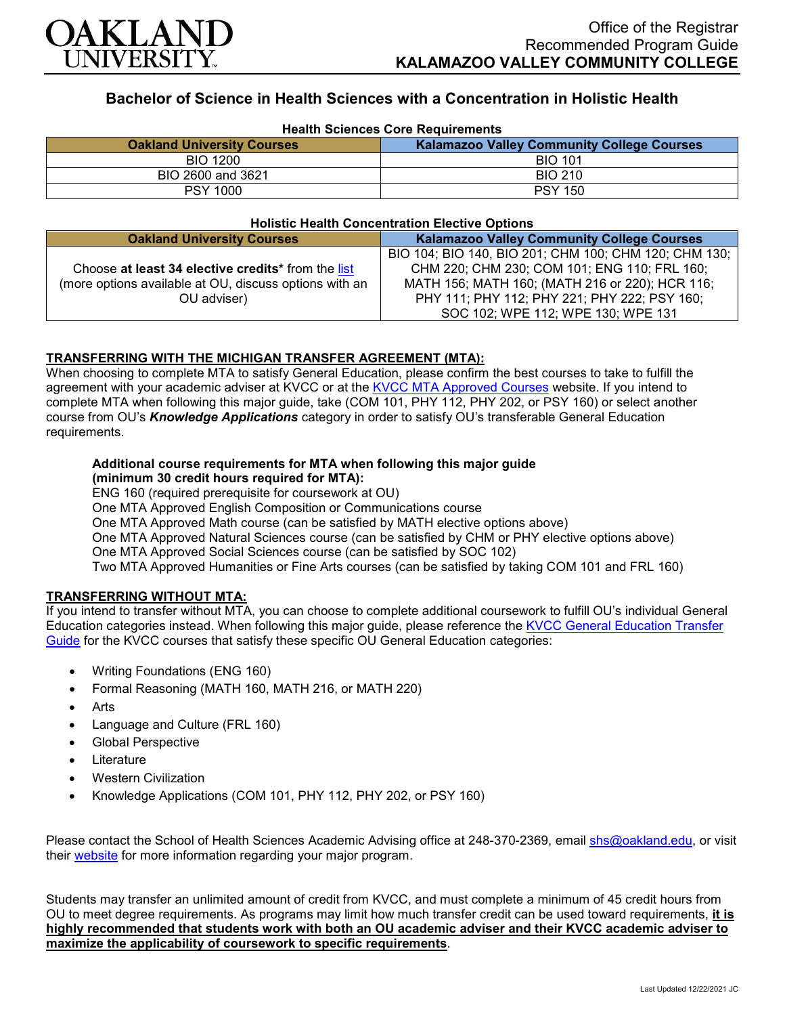

## **Bachelor of Science in Health Sciences with a Concentration in Holistic Health**

| <b>Health Sciences Core Requirements</b> |                                                   |
|------------------------------------------|---------------------------------------------------|
| <b>Oakland University Courses</b>        | <b>Kalamazoo Valley Community College Courses</b> |
| <b>BIO 1200</b>                          | <b>BIO 101</b>                                    |
| BIO 2600 and 3621                        | <b>BIO 210</b>                                    |
| <b>PSY 1000</b>                          | <b>PSY 150</b>                                    |

#### **Holistic Health Concentration Elective Options**

| <b>Oakland University Courses</b>                      | <b>Kalamazoo Valley Community College Courses</b>     |
|--------------------------------------------------------|-------------------------------------------------------|
|                                                        | BIO 104; BIO 140, BIO 201; CHM 100; CHM 120; CHM 130; |
| Choose at least 34 elective credits* from the list     | CHM 220; CHM 230; COM 101; ENG 110; FRL 160;          |
| (more options available at OU, discuss options with an | MATH 156; MATH 160; (MATH 216 or 220); HCR 116;       |
| OU adviser)                                            | PHY 111; PHY 112; PHY 221; PHY 222; PSY 160;          |
|                                                        | SOC 102; WPE 112; WPE 130; WPE 131                    |

### **TRANSFERRING WITH THE MICHIGAN TRANSFER AGREEMENT (MTA):**

When choosing to complete MTA to satisfy General Education, please confirm the best courses to take to fulfill the agreement with your academic adviser at KVCC or at the [KVCC MTA Approved Courses](https://www.kvcc.edu/programs/mta.php) website. If you intend to complete MTA when following this major guide, take (COM 101, PHY 112, PHY 202, or PSY 160) or select another course from OU's *Knowledge Applications* category in order to satisfy OU's transferable General Education requirements.

# **Additional course requirements for MTA when following this major guide**

**(minimum 30 credit hours required for MTA):**

ENG 160 (required prerequisite for coursework at OU)

One MTA Approved English Composition or Communications course

One MTA Approved Math course (can be satisfied by MATH elective options above)

One MTA Approved Natural Sciences course (can be satisfied by CHM or PHY elective options above)

One MTA Approved Social Sciences course (can be satisfied by SOC 102)

Two MTA Approved Humanities or Fine Arts courses (can be satisfied by taking COM 101 and FRL 160)

## **TRANSFERRING WITHOUT MTA:**

If you intend to transfer without MTA, you can choose to complete additional coursework to fulfill OU's individual General Education categories instead. When following this major guide, please reference the [KVCC General Education Transfer](https://www.oakland.edu/Assets/Oakland/program-guides/kalamazoo-valley-community-college/university-general-education-requirements/Kalamazoo%20Valley%20Gen%20Ed.pdf)  [Guide](https://www.oakland.edu/Assets/Oakland/program-guides/kalamazoo-valley-community-college/university-general-education-requirements/Kalamazoo%20Valley%20Gen%20Ed.pdf) for the KVCC courses that satisfy these specific OU General Education categories:

- Writing Foundations (ENG 160)
- Formal Reasoning (MATH 160, MATH 216, or MATH 220)
- **Arts**
- Language and Culture (FRL 160)
- Global Perspective
- **Literature**
- Western Civilization
- Knowledge Applications (COM 101, PHY 112, PHY 202, or PSY 160)

Please contact the School of Health Sciences Academic Advising office at 248-370-2369, email [shs@oakland.edu,](mailto:shs@oakland.edu) or visit their [website](http://www.oakland.edu/shs/advising) for more information regarding your major program.

Students may transfer an unlimited amount of credit from KVCC, and must complete a minimum of 45 credit hours from OU to meet degree requirements. As programs may limit how much transfer credit can be used toward requirements, **it is highly recommended that students work with both an OU academic adviser and their KVCC academic adviser to maximize the applicability of coursework to specific requirements**.